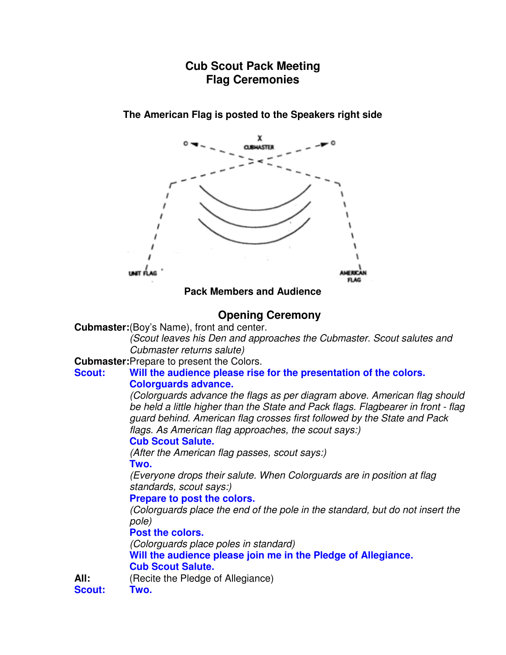# **Cub Scout Pack Meeting Flag Ceremonies**

**The American Flag is posted to the Speakers right side** 

**Pack Members and Audience** 

# **Opening Ceremony**

**Cubmaster:** (Boy's Name), front and center.

(Scout leaves his Den and approaches the Cubmaster. Scout salutes and Cubmaster returns salute)

**Cubmaster: Prepare to present the Colors.** 

#### **Scout: Will the audience please rise for the presentation of the colors. Colorguards advance.**

(Colorguards advance the flags as per diagram above. American flag should be held a little higher than the State and Pack flags. Flagbearer in front - flag guard behind. American flag crosses first followed by the State and Pack flags. As American flag approaches, the scout says:)

# **Cub Scout Salute.**

(After the American flag passes, scout says:)

# **Two.**

(Everyone drops their salute. When Colorguards are in position at flag standards, scout says:)

### **Prepare to post the colors.**

(Colorguards place the end of the pole in the standard, but do not insert the pole)

**Post the colors.**

(Colorguards place poles in standard)

**Will the audience please join me in the Pledge of Allegiance. Cub Scout Salute.**

**All:** (Recite the Pledge of Allegiance)

**Scout: Two.**